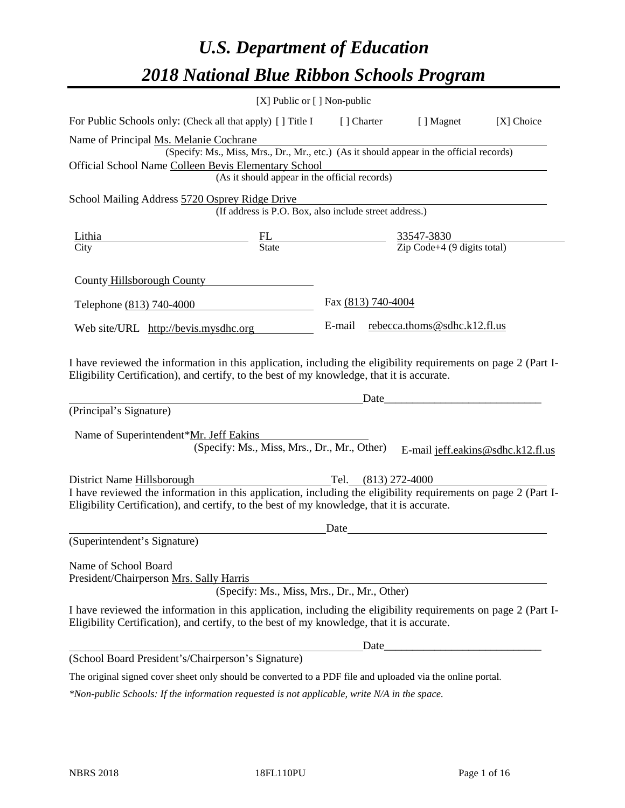# *U.S. Department of Education 2018 National Blue Ribbon Schools Program*

|                                                                                                                                                                                                              | [X] Public or [] Non-public                                                                                          |                     |                                     |                                   |
|--------------------------------------------------------------------------------------------------------------------------------------------------------------------------------------------------------------|----------------------------------------------------------------------------------------------------------------------|---------------------|-------------------------------------|-----------------------------------|
| For Public Schools only: (Check all that apply) [] Title I [] Charter                                                                                                                                        |                                                                                                                      |                     | [ ] Magnet                          | [X] Choice                        |
| Name of Principal Ms. Melanie Cochrane                                                                                                                                                                       |                                                                                                                      |                     |                                     |                                   |
|                                                                                                                                                                                                              | (Specify: Ms., Miss, Mrs., Dr., Mr., etc.) (As it should appear in the official records)                             |                     |                                     |                                   |
| Official School Name Colleen Bevis Elementary School                                                                                                                                                         |                                                                                                                      |                     |                                     |                                   |
|                                                                                                                                                                                                              | (As it should appear in the official records)                                                                        |                     |                                     |                                   |
| School Mailing Address 5720 Osprey Ridge Drive                                                                                                                                                               |                                                                                                                      |                     |                                     |                                   |
|                                                                                                                                                                                                              | (If address is P.O. Box, also include street address.)                                                               |                     |                                     |                                   |
| Lithia                                                                                                                                                                                                       | $\frac{FL}{State}$ $\frac{33547-3830}{Zip Code+4 (9 digits total)}$                                                  |                     |                                     |                                   |
| City                                                                                                                                                                                                         |                                                                                                                      |                     |                                     |                                   |
| County Hillsborough County                                                                                                                                                                                   |                                                                                                                      |                     |                                     |                                   |
| Telephone (813) 740-4000                                                                                                                                                                                     |                                                                                                                      | Fax (813) 740-4004  |                                     |                                   |
| Web site/URL http://bevis.mysdhc.org                                                                                                                                                                         |                                                                                                                      |                     | E-mail rebecca.thoms@sdhc.k12.fl.us |                                   |
| (Principal's Signature)<br>Name of Superintendent*Mr. Jeff Eakins                                                                                                                                            | <u> 1980 - Jan Samuel Barbara, politik eta politik eta politik eta politik eta politik eta politik eta politik e</u> | Date                |                                     |                                   |
|                                                                                                                                                                                                              | (Specify: Ms., Miss, Mrs., Dr., Mr., Other)                                                                          |                     |                                     | E-mail jeff.eakins@sdhc.k12.fl.us |
| District Name Hillsborough                                                                                                                                                                                   |                                                                                                                      | Tel. (813) 272-4000 |                                     |                                   |
| I have reviewed the information in this application, including the eligibility requirements on page 2 (Part I-<br>Eligibility Certification), and certify, to the best of my knowledge, that it is accurate. |                                                                                                                      |                     |                                     |                                   |
|                                                                                                                                                                                                              |                                                                                                                      | Date                |                                     |                                   |
| (Superintendent's Signature)                                                                                                                                                                                 |                                                                                                                      |                     |                                     |                                   |
| Name of School Board<br>President/Chairperson Mrs. Sally Harris                                                                                                                                              | (Specify: Ms., Miss, Mrs., Dr., Mr., Other)                                                                          |                     |                                     |                                   |
| I have reviewed the information in this application, including the eligibility requirements on page 2 (Part I-<br>Eligibility Certification), and certify, to the best of my knowledge, that it is accurate. |                                                                                                                      |                     |                                     |                                   |
|                                                                                                                                                                                                              |                                                                                                                      |                     |                                     |                                   |
| (School Board President's/Chairperson's Signature)                                                                                                                                                           |                                                                                                                      |                     |                                     |                                   |
| The original signed cover sheet only should be converted to a PDF file and uploaded via the online portal.                                                                                                   |                                                                                                                      |                     |                                     |                                   |

*\*Non-public Schools: If the information requested is not applicable, write N/A in the space.*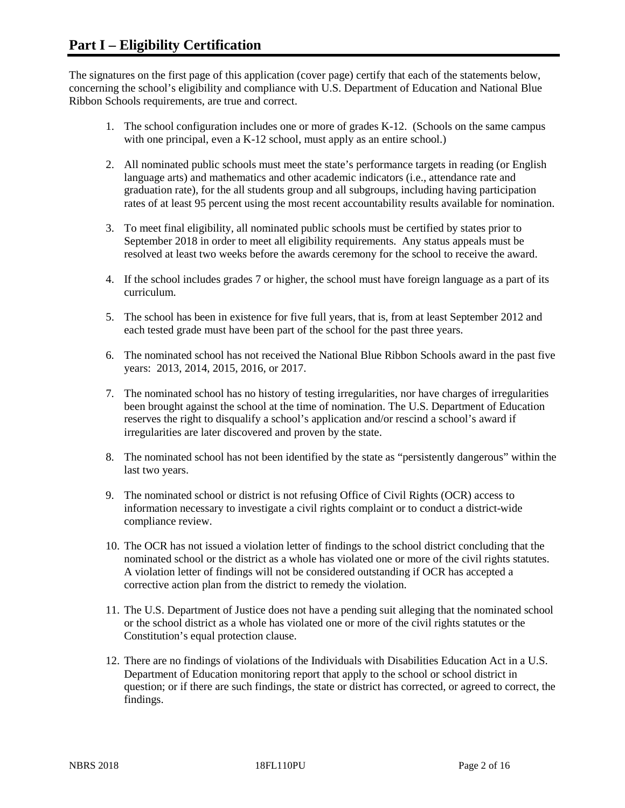The signatures on the first page of this application (cover page) certify that each of the statements below, concerning the school's eligibility and compliance with U.S. Department of Education and National Blue Ribbon Schools requirements, are true and correct.

- 1. The school configuration includes one or more of grades K-12. (Schools on the same campus with one principal, even a K-12 school, must apply as an entire school.)
- 2. All nominated public schools must meet the state's performance targets in reading (or English language arts) and mathematics and other academic indicators (i.e., attendance rate and graduation rate), for the all students group and all subgroups, including having participation rates of at least 95 percent using the most recent accountability results available for nomination.
- 3. To meet final eligibility, all nominated public schools must be certified by states prior to September 2018 in order to meet all eligibility requirements. Any status appeals must be resolved at least two weeks before the awards ceremony for the school to receive the award.
- 4. If the school includes grades 7 or higher, the school must have foreign language as a part of its curriculum.
- 5. The school has been in existence for five full years, that is, from at least September 2012 and each tested grade must have been part of the school for the past three years.
- 6. The nominated school has not received the National Blue Ribbon Schools award in the past five years: 2013, 2014, 2015, 2016, or 2017.
- 7. The nominated school has no history of testing irregularities, nor have charges of irregularities been brought against the school at the time of nomination. The U.S. Department of Education reserves the right to disqualify a school's application and/or rescind a school's award if irregularities are later discovered and proven by the state.
- 8. The nominated school has not been identified by the state as "persistently dangerous" within the last two years.
- 9. The nominated school or district is not refusing Office of Civil Rights (OCR) access to information necessary to investigate a civil rights complaint or to conduct a district-wide compliance review.
- 10. The OCR has not issued a violation letter of findings to the school district concluding that the nominated school or the district as a whole has violated one or more of the civil rights statutes. A violation letter of findings will not be considered outstanding if OCR has accepted a corrective action plan from the district to remedy the violation.
- 11. The U.S. Department of Justice does not have a pending suit alleging that the nominated school or the school district as a whole has violated one or more of the civil rights statutes or the Constitution's equal protection clause.
- 12. There are no findings of violations of the Individuals with Disabilities Education Act in a U.S. Department of Education monitoring report that apply to the school or school district in question; or if there are such findings, the state or district has corrected, or agreed to correct, the findings.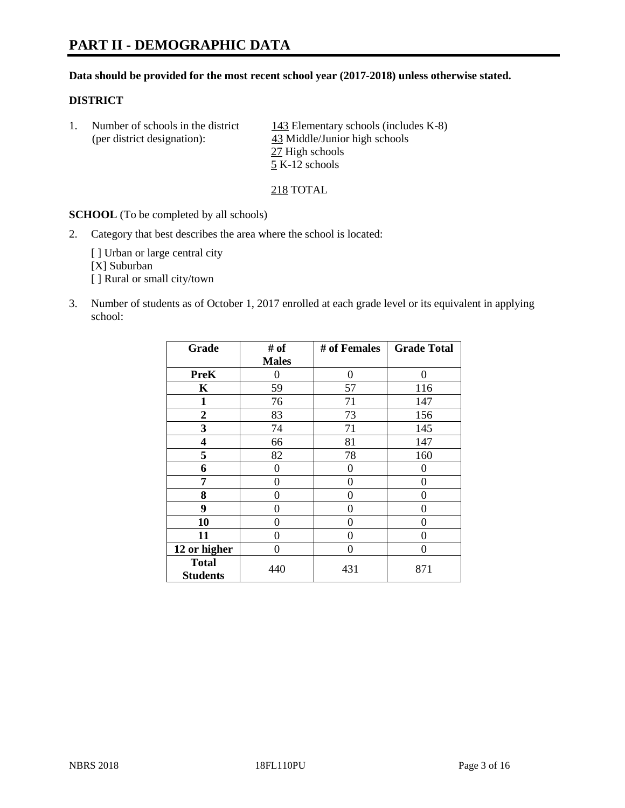#### **Data should be provided for the most recent school year (2017-2018) unless otherwise stated.**

#### **DISTRICT**

1. Number of schools in the district  $143$  Elementary schools (includes K-8) (per district designation): 43 Middle/Junior high schools 27 High schools 5 K-12 schools

218 TOTAL

**SCHOOL** (To be completed by all schools)

2. Category that best describes the area where the school is located:

[] Urban or large central city [X] Suburban [] Rural or small city/town

3. Number of students as of October 1, 2017 enrolled at each grade level or its equivalent in applying school:

| Grade                           | # of         | # of Females | <b>Grade Total</b> |
|---------------------------------|--------------|--------------|--------------------|
|                                 | <b>Males</b> |              |                    |
| <b>PreK</b>                     | 0            | 0            | 0                  |
| K                               | 59           | 57           | 116                |
| $\mathbf{1}$                    | 76           | 71           | 147                |
| 2                               | 83           | 73           | 156                |
| 3                               | 74           | 71           | 145                |
| 4                               | 66           | 81           | 147                |
| 5                               | 82           | 78           | 160                |
| 6                               | 0            | 0            | 0                  |
| 7                               | 0            | 0            | 0                  |
| 8                               | 0            | 0            | 0                  |
| 9                               | 0            | 0            | 0                  |
| 10                              | 0            | 0            | 0                  |
| 11                              | 0            | 0            | 0                  |
| 12 or higher                    | 0            | 0            | 0                  |
| <b>Total</b><br><b>Students</b> | 440          | 431          | 871                |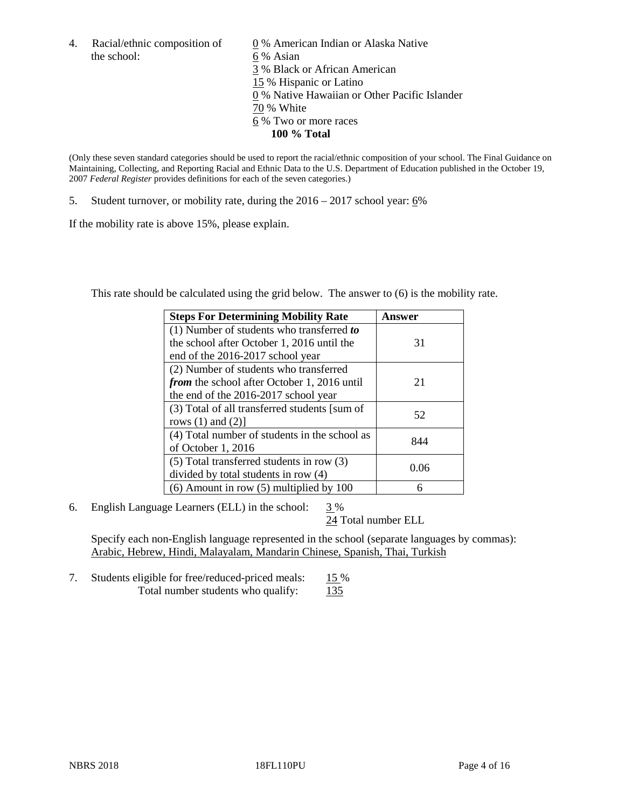the school: 6 % Asian

4. Racial/ethnic composition of  $\qquad 0\%$  American Indian or Alaska Native 3 % Black or African American 15 % Hispanic or Latino 0 % Native Hawaiian or Other Pacific Islander 70 % White 6 % Two or more races **100 % Total**

(Only these seven standard categories should be used to report the racial/ethnic composition of your school. The Final Guidance on Maintaining, Collecting, and Reporting Racial and Ethnic Data to the U.S. Department of Education published in the October 19, 2007 *Federal Register* provides definitions for each of the seven categories.)

5. Student turnover, or mobility rate, during the 2016 – 2017 school year: 6%

If the mobility rate is above 15%, please explain.

This rate should be calculated using the grid below. The answer to (6) is the mobility rate.

| <b>Steps For Determining Mobility Rate</b>         | Answer |  |
|----------------------------------------------------|--------|--|
| (1) Number of students who transferred to          |        |  |
| the school after October 1, 2016 until the         | 31     |  |
| end of the 2016-2017 school year                   |        |  |
| (2) Number of students who transferred             |        |  |
| <i>from</i> the school after October 1, 2016 until | 21     |  |
| the end of the 2016-2017 school year               |        |  |
| (3) Total of all transferred students [sum of      | 52     |  |
| rows $(1)$ and $(2)$ ]                             |        |  |
| (4) Total number of students in the school as      |        |  |
| of October 1, 2016                                 | 844    |  |
| (5) Total transferred students in row (3)          |        |  |
| divided by total students in row (4)               | 0.06   |  |
| $(6)$ Amount in row $(5)$ multiplied by 100        | 6      |  |

6. English Language Learners (ELL) in the school:  $3\%$ 

24 Total number ELL

Specify each non-English language represented in the school (separate languages by commas): Arabic, Hebrew, Hindi, Malayalam, Mandarin Chinese, Spanish, Thai, Turkish

7. Students eligible for free/reduced-priced meals: 15 % Total number students who qualify: 135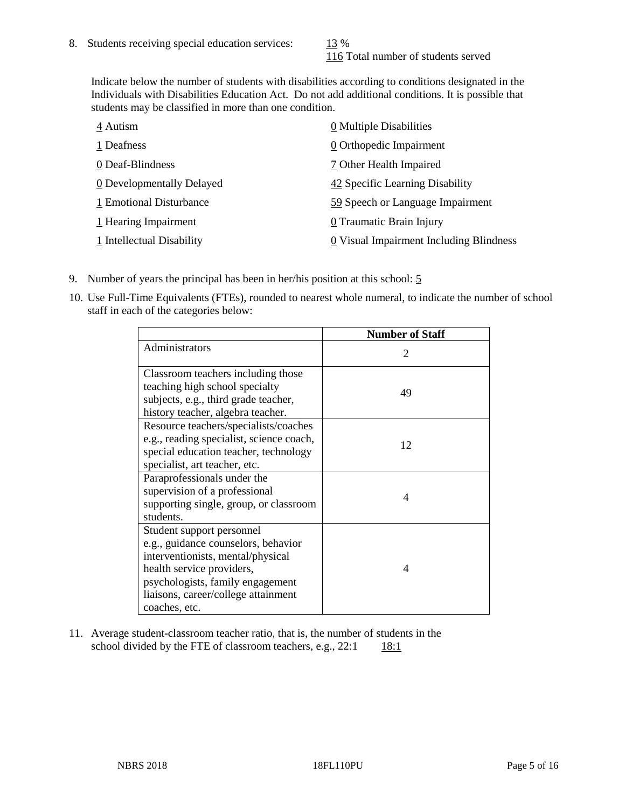116 Total number of students served

Indicate below the number of students with disabilities according to conditions designated in the Individuals with Disabilities Education Act. Do not add additional conditions. It is possible that students may be classified in more than one condition.

| 4 Autism                  | 0 Multiple Disabilities                 |
|---------------------------|-----------------------------------------|
| 1 Deafness                | 0 Orthopedic Impairment                 |
| 0 Deaf-Blindness          | 7 Other Health Impaired                 |
| 0 Developmentally Delayed | 42 Specific Learning Disability         |
| 1 Emotional Disturbance   | 59 Speech or Language Impairment        |
| 1 Hearing Impairment      | 0 Traumatic Brain Injury                |
| 1 Intellectual Disability | 0 Visual Impairment Including Blindness |

- 9. Number of years the principal has been in her/his position at this school: 5
- 10. Use Full-Time Equivalents (FTEs), rounded to nearest whole numeral, to indicate the number of school staff in each of the categories below:

|                                                                                                                                                                                                                                | <b>Number of Staff</b> |
|--------------------------------------------------------------------------------------------------------------------------------------------------------------------------------------------------------------------------------|------------------------|
| Administrators                                                                                                                                                                                                                 | 2                      |
| Classroom teachers including those<br>teaching high school specialty<br>subjects, e.g., third grade teacher,<br>history teacher, algebra teacher.                                                                              | 49                     |
| Resource teachers/specialists/coaches<br>e.g., reading specialist, science coach,<br>special education teacher, technology<br>specialist, art teacher, etc.                                                                    | 12                     |
| Paraprofessionals under the<br>supervision of a professional<br>supporting single, group, or classroom<br>students.                                                                                                            | 4                      |
| Student support personnel<br>e.g., guidance counselors, behavior<br>interventionists, mental/physical<br>health service providers,<br>psychologists, family engagement<br>liaisons, career/college attainment<br>coaches, etc. | 4                      |

11. Average student-classroom teacher ratio, that is, the number of students in the school divided by the FTE of classroom teachers, e.g.,  $22:1$  18:1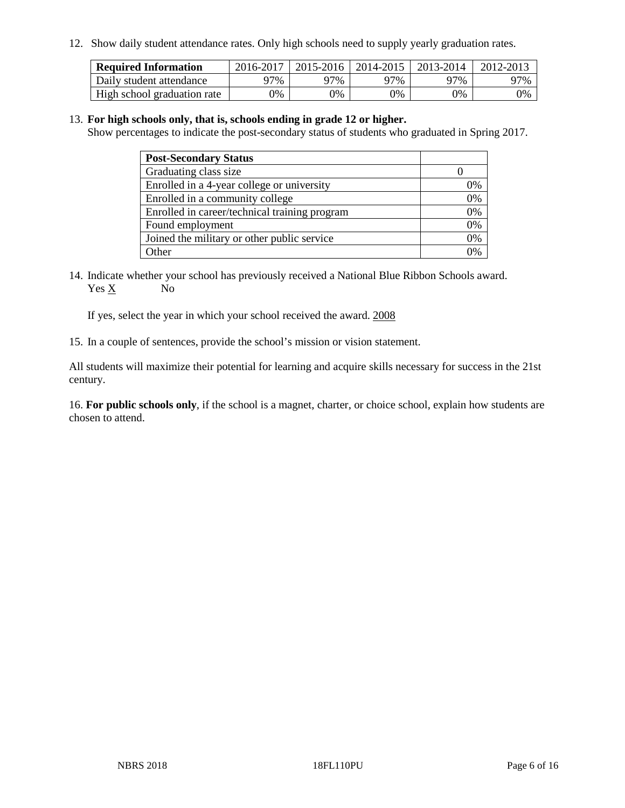12. Show daily student attendance rates. Only high schools need to supply yearly graduation rates.

| <b>Required Information</b> | 2016-2017 | 2015-2016 1 | $12014 - 2015$ | 2013-2014 | 2012-2013 |
|-----------------------------|-----------|-------------|----------------|-----------|-----------|
| Daily student attendance    | 97%       | 97%         | 97%            | ว7%       | 97%       |
| High school graduation rate | 0%        | 0%          | 0%             | 9%        | 0%        |

#### 13. **For high schools only, that is, schools ending in grade 12 or higher.**

Show percentages to indicate the post-secondary status of students who graduated in Spring 2017.

| <b>Post-Secondary Status</b>                  |              |
|-----------------------------------------------|--------------|
| Graduating class size                         |              |
| Enrolled in a 4-year college or university    | 0%           |
| Enrolled in a community college               | 0%           |
| Enrolled in career/technical training program | 0%           |
| Found employment                              | 0%           |
| Joined the military or other public service   | 0%           |
| Other                                         | $\gamma_{0}$ |

14. Indicate whether your school has previously received a National Blue Ribbon Schools award. Yes X No

If yes, select the year in which your school received the award. 2008

15. In a couple of sentences, provide the school's mission or vision statement.

All students will maximize their potential for learning and acquire skills necessary for success in the 21st century.

16. **For public schools only**, if the school is a magnet, charter, or choice school, explain how students are chosen to attend.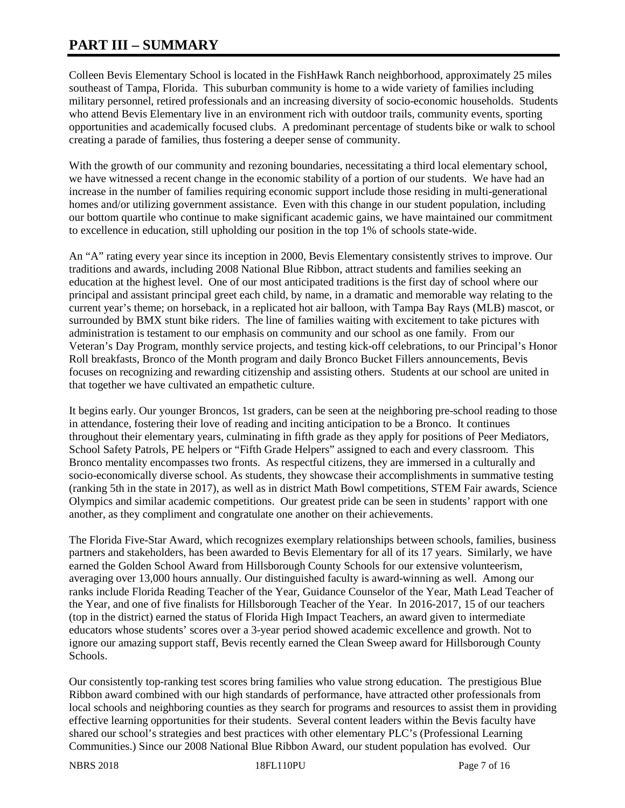# **PART III – SUMMARY**

Colleen Bevis Elementary School is located in the FishHawk Ranch neighborhood, approximately 25 miles southeast of Tampa, Florida. This suburban community is home to a wide variety of families including military personnel, retired professionals and an increasing diversity of socio-economic households. Students who attend Bevis Elementary live in an environment rich with outdoor trails, community events, sporting opportunities and academically focused clubs. A predominant percentage of students bike or walk to school creating a parade of families, thus fostering a deeper sense of community.

With the growth of our community and rezoning boundaries, necessitating a third local elementary school, we have witnessed a recent change in the economic stability of a portion of our students. We have had an increase in the number of families requiring economic support include those residing in multi-generational homes and/or utilizing government assistance. Even with this change in our student population, including our bottom quartile who continue to make significant academic gains, we have maintained our commitment to excellence in education, still upholding our position in the top 1% of schools state-wide.

An "A" rating every year since its inception in 2000, Bevis Elementary consistently strives to improve. Our traditions and awards, including 2008 National Blue Ribbon, attract students and families seeking an education at the highest level. One of our most anticipated traditions is the first day of school where our principal and assistant principal greet each child, by name, in a dramatic and memorable way relating to the current year's theme; on horseback, in a replicated hot air balloon, with Tampa Bay Rays (MLB) mascot, or surrounded by BMX stunt bike riders. The line of families waiting with excitement to take pictures with administration is testament to our emphasis on community and our school as one family. From our Veteran's Day Program, monthly service projects, and testing kick-off celebrations, to our Principal's Honor Roll breakfasts, Bronco of the Month program and daily Bronco Bucket Fillers announcements, Bevis focuses on recognizing and rewarding citizenship and assisting others. Students at our school are united in that together we have cultivated an empathetic culture.

It begins early. Our younger Broncos, 1st graders, can be seen at the neighboring pre-school reading to those in attendance, fostering their love of reading and inciting anticipation to be a Bronco. It continues throughout their elementary years, culminating in fifth grade as they apply for positions of Peer Mediators, School Safety Patrols, PE helpers or "Fifth Grade Helpers" assigned to each and every classroom. This Bronco mentality encompasses two fronts. As respectful citizens, they are immersed in a culturally and socio-economically diverse school. As students, they showcase their accomplishments in summative testing (ranking 5th in the state in 2017), as well as in district Math Bowl competitions, STEM Fair awards, Science Olympics and similar academic competitions. Our greatest pride can be seen in students' rapport with one another, as they compliment and congratulate one another on their achievements.

The Florida Five-Star Award, which recognizes exemplary relationships between schools, families, business partners and stakeholders, has been awarded to Bevis Elementary for all of its 17 years. Similarly, we have earned the Golden School Award from Hillsborough County Schools for our extensive volunteerism, averaging over 13,000 hours annually. Our distinguished faculty is award-winning as well. Among our ranks include Florida Reading Teacher of the Year, Guidance Counselor of the Year, Math Lead Teacher of the Year, and one of five finalists for Hillsborough Teacher of the Year. In 2016-2017, 15 of our teachers (top in the district) earned the status of Florida High Impact Teachers, an award given to intermediate educators whose students' scores over a 3-year period showed academic excellence and growth. Not to ignore our amazing support staff, Bevis recently earned the Clean Sweep award for Hillsborough County Schools.

Our consistently top-ranking test scores bring families who value strong education. The prestigious Blue Ribbon award combined with our high standards of performance, have attracted other professionals from local schools and neighboring counties as they search for programs and resources to assist them in providing effective learning opportunities for their students. Several content leaders within the Bevis faculty have shared our school's strategies and best practices with other elementary PLC's (Professional Learning Communities.) Since our 2008 National Blue Ribbon Award, our student population has evolved. Our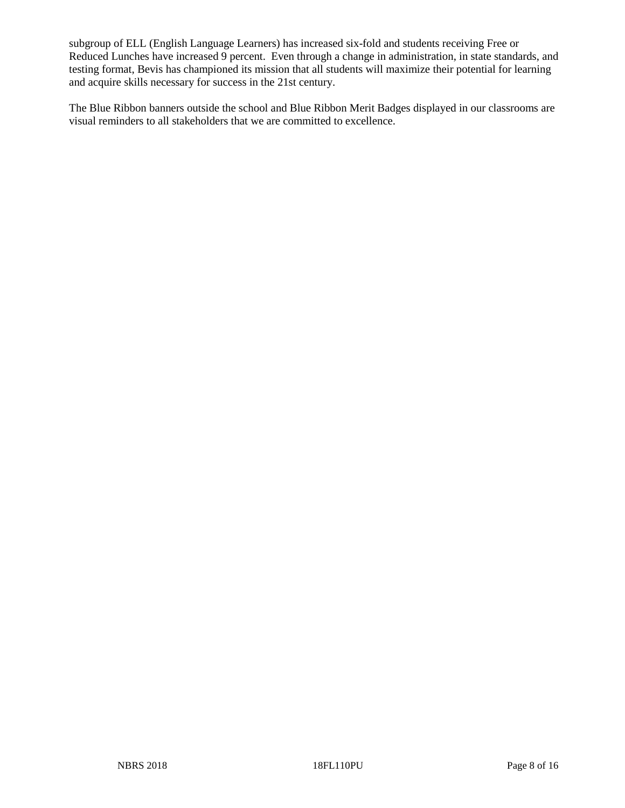subgroup of ELL (English Language Learners) has increased six-fold and students receiving Free or Reduced Lunches have increased 9 percent. Even through a change in administration, in state standards, and testing format, Bevis has championed its mission that all students will maximize their potential for learning and acquire skills necessary for success in the 21st century.

The Blue Ribbon banners outside the school and Blue Ribbon Merit Badges displayed in our classrooms are visual reminders to all stakeholders that we are committed to excellence.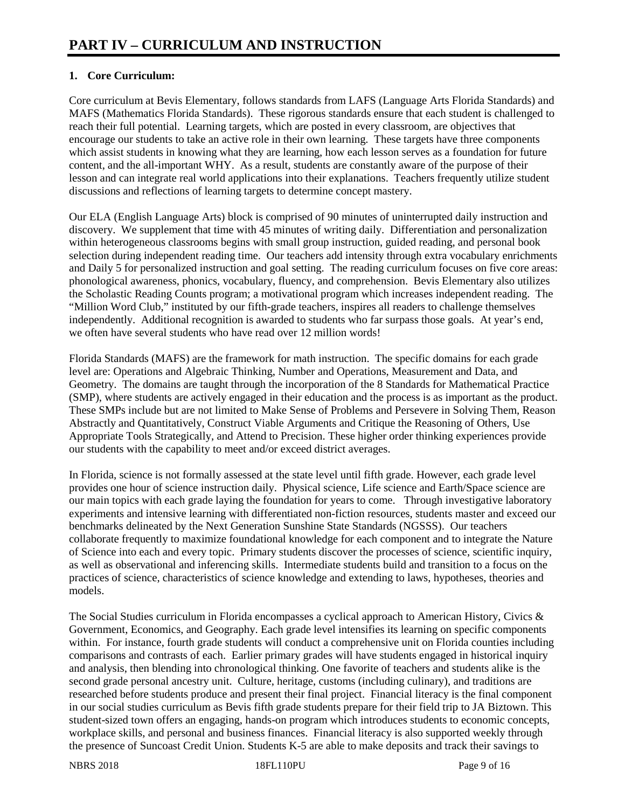# **1. Core Curriculum:**

Core curriculum at Bevis Elementary, follows standards from LAFS (Language Arts Florida Standards) and MAFS (Mathematics Florida Standards). These rigorous standards ensure that each student is challenged to reach their full potential. Learning targets, which are posted in every classroom, are objectives that encourage our students to take an active role in their own learning. These targets have three components which assist students in knowing what they are learning, how each lesson serves as a foundation for future content, and the all-important WHY. As a result, students are constantly aware of the purpose of their lesson and can integrate real world applications into their explanations. Teachers frequently utilize student discussions and reflections of learning targets to determine concept mastery.

Our ELA (English Language Arts) block is comprised of 90 minutes of uninterrupted daily instruction and discovery. We supplement that time with 45 minutes of writing daily. Differentiation and personalization within heterogeneous classrooms begins with small group instruction, guided reading, and personal book selection during independent reading time. Our teachers add intensity through extra vocabulary enrichments and Daily 5 for personalized instruction and goal setting. The reading curriculum focuses on five core areas: phonological awareness, phonics, vocabulary, fluency, and comprehension. Bevis Elementary also utilizes the Scholastic Reading Counts program; a motivational program which increases independent reading. The "Million Word Club," instituted by our fifth-grade teachers, inspires all readers to challenge themselves independently. Additional recognition is awarded to students who far surpass those goals. At year's end, we often have several students who have read over 12 million words!

Florida Standards (MAFS) are the framework for math instruction. The specific domains for each grade level are: Operations and Algebraic Thinking, Number and Operations, Measurement and Data, and Geometry. The domains are taught through the incorporation of the 8 Standards for Mathematical Practice (SMP), where students are actively engaged in their education and the process is as important as the product. These SMPs include but are not limited to Make Sense of Problems and Persevere in Solving Them, Reason Abstractly and Quantitatively, Construct Viable Arguments and Critique the Reasoning of Others, Use Appropriate Tools Strategically, and Attend to Precision. These higher order thinking experiences provide our students with the capability to meet and/or exceed district averages.

In Florida, science is not formally assessed at the state level until fifth grade. However, each grade level provides one hour of science instruction daily. Physical science, Life science and Earth/Space science are our main topics with each grade laying the foundation for years to come. Through investigative laboratory experiments and intensive learning with differentiated non-fiction resources, students master and exceed our benchmarks delineated by the Next Generation Sunshine State Standards (NGSSS). Our teachers collaborate frequently to maximize foundational knowledge for each component and to integrate the Nature of Science into each and every topic. Primary students discover the processes of science, scientific inquiry, as well as observational and inferencing skills. Intermediate students build and transition to a focus on the practices of science, characteristics of science knowledge and extending to laws, hypotheses, theories and models.

The Social Studies curriculum in Florida encompasses a cyclical approach to American History, Civics & Government, Economics, and Geography. Each grade level intensifies its learning on specific components within. For instance, fourth grade students will conduct a comprehensive unit on Florida counties including comparisons and contrasts of each. Earlier primary grades will have students engaged in historical inquiry and analysis, then blending into chronological thinking. One favorite of teachers and students alike is the second grade personal ancestry unit. Culture, heritage, customs (including culinary), and traditions are researched before students produce and present their final project. Financial literacy is the final component in our social studies curriculum as Bevis fifth grade students prepare for their field trip to JA Biztown. This student-sized town offers an engaging, hands-on program which introduces students to economic concepts, workplace skills, and personal and business finances. Financial literacy is also supported weekly through the presence of Suncoast Credit Union. Students K-5 are able to make deposits and track their savings to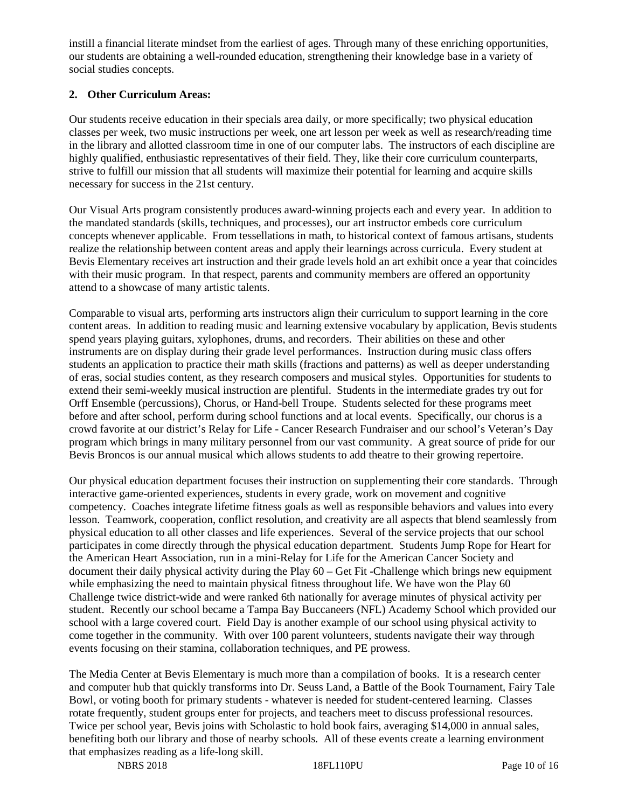instill a financial literate mindset from the earliest of ages. Through many of these enriching opportunities, our students are obtaining a well-rounded education, strengthening their knowledge base in a variety of social studies concepts.

## **2. Other Curriculum Areas:**

Our students receive education in their specials area daily, or more specifically; two physical education classes per week, two music instructions per week, one art lesson per week as well as research/reading time in the library and allotted classroom time in one of our computer labs. The instructors of each discipline are highly qualified, enthusiastic representatives of their field. They, like their core curriculum counterparts, strive to fulfill our mission that all students will maximize their potential for learning and acquire skills necessary for success in the 21st century.

Our Visual Arts program consistently produces award-winning projects each and every year. In addition to the mandated standards (skills, techniques, and processes), our art instructor embeds core curriculum concepts whenever applicable. From tessellations in math, to historical context of famous artisans, students realize the relationship between content areas and apply their learnings across curricula. Every student at Bevis Elementary receives art instruction and their grade levels hold an art exhibit once a year that coincides with their music program. In that respect, parents and community members are offered an opportunity attend to a showcase of many artistic talents.

Comparable to visual arts, performing arts instructors align their curriculum to support learning in the core content areas. In addition to reading music and learning extensive vocabulary by application, Bevis students spend years playing guitars, xylophones, drums, and recorders. Their abilities on these and other instruments are on display during their grade level performances. Instruction during music class offers students an application to practice their math skills (fractions and patterns) as well as deeper understanding of eras, social studies content, as they research composers and musical styles. Opportunities for students to extend their semi-weekly musical instruction are plentiful. Students in the intermediate grades try out for Orff Ensemble (percussions), Chorus, or Hand-bell Troupe. Students selected for these programs meet before and after school, perform during school functions and at local events. Specifically, our chorus is a crowd favorite at our district's Relay for Life - Cancer Research Fundraiser and our school's Veteran's Day program which brings in many military personnel from our vast community. A great source of pride for our Bevis Broncos is our annual musical which allows students to add theatre to their growing repertoire.

Our physical education department focuses their instruction on supplementing their core standards. Through interactive game-oriented experiences, students in every grade, work on movement and cognitive competency. Coaches integrate lifetime fitness goals as well as responsible behaviors and values into every lesson. Teamwork, cooperation, conflict resolution, and creativity are all aspects that blend seamlessly from physical education to all other classes and life experiences. Several of the service projects that our school participates in come directly through the physical education department. Students Jump Rope for Heart for the American Heart Association, run in a mini-Relay for Life for the American Cancer Society and document their daily physical activity during the Play 60 – Get Fit -Challenge which brings new equipment while emphasizing the need to maintain physical fitness throughout life. We have won the Play 60 Challenge twice district-wide and were ranked 6th nationally for average minutes of physical activity per student. Recently our school became a Tampa Bay Buccaneers (NFL) Academy School which provided our school with a large covered court. Field Day is another example of our school using physical activity to come together in the community. With over 100 parent volunteers, students navigate their way through events focusing on their stamina, collaboration techniques, and PE prowess.

The Media Center at Bevis Elementary is much more than a compilation of books. It is a research center and computer hub that quickly transforms into Dr. Seuss Land, a Battle of the Book Tournament, Fairy Tale Bowl, or voting booth for primary students - whatever is needed for student-centered learning. Classes rotate frequently, student groups enter for projects, and teachers meet to discuss professional resources. Twice per school year, Bevis joins with Scholastic to hold book fairs, averaging \$14,000 in annual sales, benefiting both our library and those of nearby schools. All of these events create a learning environment that emphasizes reading as a life-long skill.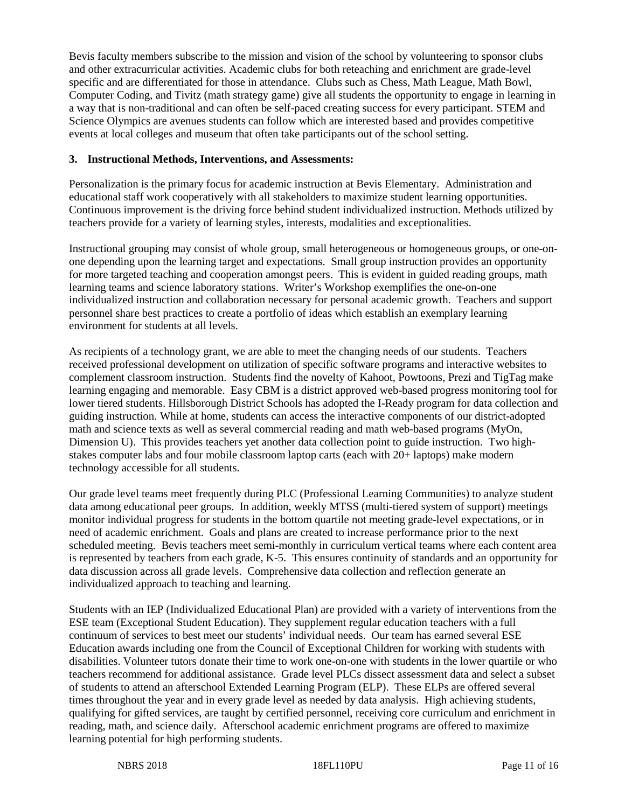Bevis faculty members subscribe to the mission and vision of the school by volunteering to sponsor clubs and other extracurricular activities. Academic clubs for both reteaching and enrichment are grade-level specific and are differentiated for those in attendance. Clubs such as Chess, Math League, Math Bowl, Computer Coding, and Tivitz (math strategy game) give all students the opportunity to engage in learning in a way that is non-traditional and can often be self-paced creating success for every participant. STEM and Science Olympics are avenues students can follow which are interested based and provides competitive events at local colleges and museum that often take participants out of the school setting.

#### **3. Instructional Methods, Interventions, and Assessments:**

Personalization is the primary focus for academic instruction at Bevis Elementary. Administration and educational staff work cooperatively with all stakeholders to maximize student learning opportunities. Continuous improvement is the driving force behind student individualized instruction. Methods utilized by teachers provide for a variety of learning styles, interests, modalities and exceptionalities.

Instructional grouping may consist of whole group, small heterogeneous or homogeneous groups, or one-onone depending upon the learning target and expectations. Small group instruction provides an opportunity for more targeted teaching and cooperation amongst peers. This is evident in guided reading groups, math learning teams and science laboratory stations. Writer's Workshop exemplifies the one-on-one individualized instruction and collaboration necessary for personal academic growth. Teachers and support personnel share best practices to create a portfolio of ideas which establish an exemplary learning environment for students at all levels.

As recipients of a technology grant, we are able to meet the changing needs of our students. Teachers received professional development on utilization of specific software programs and interactive websites to complement classroom instruction. Students find the novelty of Kahoot, Powtoons, Prezi and TigTag make learning engaging and memorable. Easy CBM is a district approved web-based progress monitoring tool for lower tiered students. Hillsborough District Schools has adopted the I-Ready program for data collection and guiding instruction. While at home, students can access the interactive components of our district-adopted math and science texts as well as several commercial reading and math web-based programs (MyOn, Dimension U). This provides teachers yet another data collection point to guide instruction. Two highstakes computer labs and four mobile classroom laptop carts (each with 20+ laptops) make modern technology accessible for all students.

Our grade level teams meet frequently during PLC (Professional Learning Communities) to analyze student data among educational peer groups. In addition, weekly MTSS (multi-tiered system of support) meetings monitor individual progress for students in the bottom quartile not meeting grade-level expectations, or in need of academic enrichment. Goals and plans are created to increase performance prior to the next scheduled meeting. Bevis teachers meet semi-monthly in curriculum vertical teams where each content area is represented by teachers from each grade, K-5. This ensures continuity of standards and an opportunity for data discussion across all grade levels. Comprehensive data collection and reflection generate an individualized approach to teaching and learning.

Students with an IEP (Individualized Educational Plan) are provided with a variety of interventions from the ESE team (Exceptional Student Education). They supplement regular education teachers with a full continuum of services to best meet our students' individual needs. Our team has earned several ESE Education awards including one from the Council of Exceptional Children for working with students with disabilities. Volunteer tutors donate their time to work one-on-one with students in the lower quartile or who teachers recommend for additional assistance. Grade level PLCs dissect assessment data and select a subset of students to attend an afterschool Extended Learning Program (ELP). These ELPs are offered several times throughout the year and in every grade level as needed by data analysis. High achieving students, qualifying for gifted services, are taught by certified personnel, receiving core curriculum and enrichment in reading, math, and science daily. Afterschool academic enrichment programs are offered to maximize learning potential for high performing students.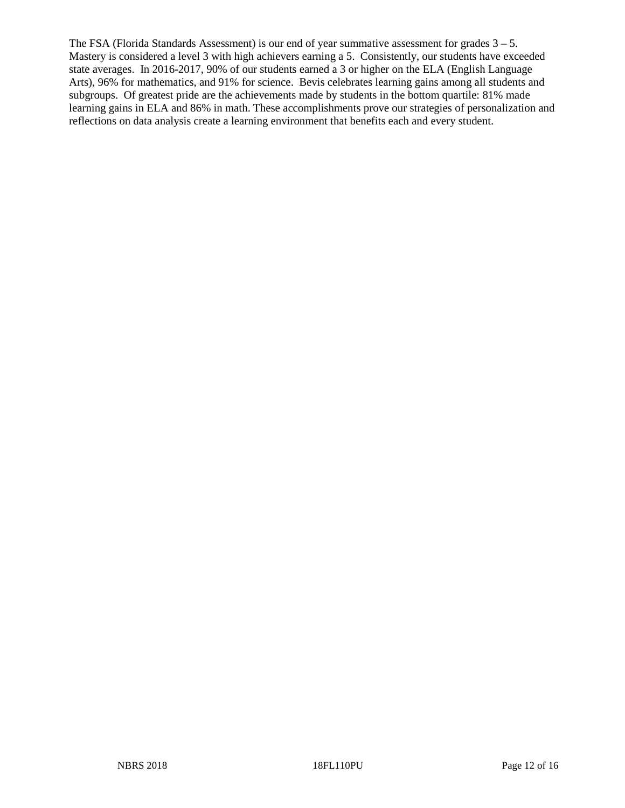The FSA (Florida Standards Assessment) is our end of year summative assessment for grades  $3 - 5$ . Mastery is considered a level 3 with high achievers earning a 5. Consistently, our students have exceeded state averages. In 2016-2017, 90% of our students earned a 3 or higher on the ELA (English Language Arts), 96% for mathematics, and 91% for science. Bevis celebrates learning gains among all students and subgroups. Of greatest pride are the achievements made by students in the bottom quartile: 81% made learning gains in ELA and 86% in math. These accomplishments prove our strategies of personalization and reflections on data analysis create a learning environment that benefits each and every student.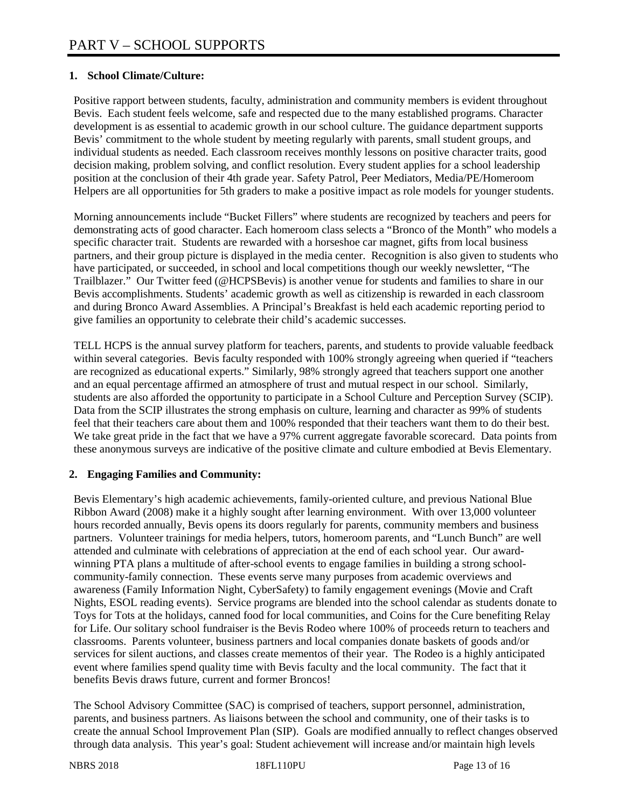# **1. School Climate/Culture:**

Positive rapport between students, faculty, administration and community members is evident throughout Bevis. Each student feels welcome, safe and respected due to the many established programs. Character development is as essential to academic growth in our school culture. The guidance department supports Bevis' commitment to the whole student by meeting regularly with parents, small student groups, and individual students as needed. Each classroom receives monthly lessons on positive character traits, good decision making, problem solving, and conflict resolution. Every student applies for a school leadership position at the conclusion of their 4th grade year. Safety Patrol, Peer Mediators, Media/PE/Homeroom Helpers are all opportunities for 5th graders to make a positive impact as role models for younger students.

Morning announcements include "Bucket Fillers" where students are recognized by teachers and peers for demonstrating acts of good character. Each homeroom class selects a "Bronco of the Month" who models a specific character trait. Students are rewarded with a horseshoe car magnet, gifts from local business partners, and their group picture is displayed in the media center. Recognition is also given to students who have participated, or succeeded, in school and local competitions though our weekly newsletter, "The Trailblazer." Our Twitter feed (@HCPSBevis) is another venue for students and families to share in our Bevis accomplishments. Students' academic growth as well as citizenship is rewarded in each classroom and during Bronco Award Assemblies. A Principal's Breakfast is held each academic reporting period to give families an opportunity to celebrate their child's academic successes.

TELL HCPS is the annual survey platform for teachers, parents, and students to provide valuable feedback within several categories. Bevis faculty responded with 100% strongly agreeing when queried if "teachers are recognized as educational experts." Similarly, 98% strongly agreed that teachers support one another and an equal percentage affirmed an atmosphere of trust and mutual respect in our school. Similarly, students are also afforded the opportunity to participate in a School Culture and Perception Survey (SCIP). Data from the SCIP illustrates the strong emphasis on culture, learning and character as 99% of students feel that their teachers care about them and 100% responded that their teachers want them to do their best. We take great pride in the fact that we have a 97% current aggregate favorable scorecard. Data points from these anonymous surveys are indicative of the positive climate and culture embodied at Bevis Elementary.

# **2. Engaging Families and Community:**

Bevis Elementary's high academic achievements, family-oriented culture, and previous National Blue Ribbon Award (2008) make it a highly sought after learning environment. With over 13,000 volunteer hours recorded annually, Bevis opens its doors regularly for parents, community members and business partners. Volunteer trainings for media helpers, tutors, homeroom parents, and "Lunch Bunch" are well attended and culminate with celebrations of appreciation at the end of each school year. Our awardwinning PTA plans a multitude of after-school events to engage families in building a strong schoolcommunity-family connection. These events serve many purposes from academic overviews and awareness (Family Information Night, CyberSafety) to family engagement evenings (Movie and Craft Nights, ESOL reading events). Service programs are blended into the school calendar as students donate to Toys for Tots at the holidays, canned food for local communities, and Coins for the Cure benefiting Relay for Life. Our solitary school fundraiser is the Bevis Rodeo where 100% of proceeds return to teachers and classrooms. Parents volunteer, business partners and local companies donate baskets of goods and/or services for silent auctions, and classes create mementos of their year. The Rodeo is a highly anticipated event where families spend quality time with Bevis faculty and the local community. The fact that it benefits Bevis draws future, current and former Broncos!

The School Advisory Committee (SAC) is comprised of teachers, support personnel, administration, parents, and business partners. As liaisons between the school and community, one of their tasks is to create the annual School Improvement Plan (SIP). Goals are modified annually to reflect changes observed through data analysis. This year's goal: Student achievement will increase and/or maintain high levels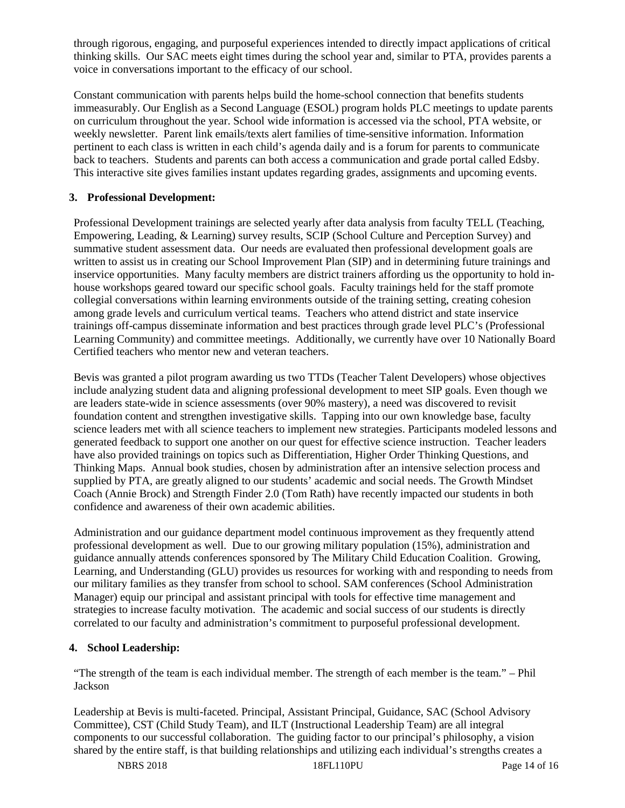through rigorous, engaging, and purposeful experiences intended to directly impact applications of critical thinking skills. Our SAC meets eight times during the school year and, similar to PTA, provides parents a voice in conversations important to the efficacy of our school.

Constant communication with parents helps build the home-school connection that benefits students immeasurably. Our English as a Second Language (ESOL) program holds PLC meetings to update parents on curriculum throughout the year. School wide information is accessed via the school, PTA website, or weekly newsletter. Parent link emails/texts alert families of time-sensitive information. Information pertinent to each class is written in each child's agenda daily and is a forum for parents to communicate back to teachers. Students and parents can both access a communication and grade portal called Edsby. This interactive site gives families instant updates regarding grades, assignments and upcoming events.

## **3. Professional Development:**

Professional Development trainings are selected yearly after data analysis from faculty TELL (Teaching, Empowering, Leading, & Learning) survey results, SCIP (School Culture and Perception Survey) and summative student assessment data. Our needs are evaluated then professional development goals are written to assist us in creating our School Improvement Plan (SIP) and in determining future trainings and inservice opportunities. Many faculty members are district trainers affording us the opportunity to hold inhouse workshops geared toward our specific school goals. Faculty trainings held for the staff promote collegial conversations within learning environments outside of the training setting, creating cohesion among grade levels and curriculum vertical teams. Teachers who attend district and state inservice trainings off-campus disseminate information and best practices through grade level PLC's (Professional Learning Community) and committee meetings. Additionally, we currently have over 10 Nationally Board Certified teachers who mentor new and veteran teachers.

Bevis was granted a pilot program awarding us two TTDs (Teacher Talent Developers) whose objectives include analyzing student data and aligning professional development to meet SIP goals. Even though we are leaders state-wide in science assessments (over 90% mastery), a need was discovered to revisit foundation content and strengthen investigative skills. Tapping into our own knowledge base, faculty science leaders met with all science teachers to implement new strategies. Participants modeled lessons and generated feedback to support one another on our quest for effective science instruction. Teacher leaders have also provided trainings on topics such as Differentiation, Higher Order Thinking Questions, and Thinking Maps. Annual book studies, chosen by administration after an intensive selection process and supplied by PTA, are greatly aligned to our students' academic and social needs. The Growth Mindset Coach (Annie Brock) and Strength Finder 2.0 (Tom Rath) have recently impacted our students in both confidence and awareness of their own academic abilities.

Administration and our guidance department model continuous improvement as they frequently attend professional development as well. Due to our growing military population (15%), administration and guidance annually attends conferences sponsored by The Military Child Education Coalition. Growing, Learning, and Understanding (GLU) provides us resources for working with and responding to needs from our military families as they transfer from school to school. SAM conferences (School Administration Manager) equip our principal and assistant principal with tools for effective time management and strategies to increase faculty motivation. The academic and social success of our students is directly correlated to our faculty and administration's commitment to purposeful professional development.

# **4. School Leadership:**

"The strength of the team is each individual member. The strength of each member is the team." – Phil Jackson

Leadership at Bevis is multi-faceted. Principal, Assistant Principal, Guidance, SAC (School Advisory Committee), CST (Child Study Team), and ILT (Instructional Leadership Team) are all integral components to our successful collaboration. The guiding factor to our principal's philosophy, a vision shared by the entire staff, is that building relationships and utilizing each individual's strengths creates a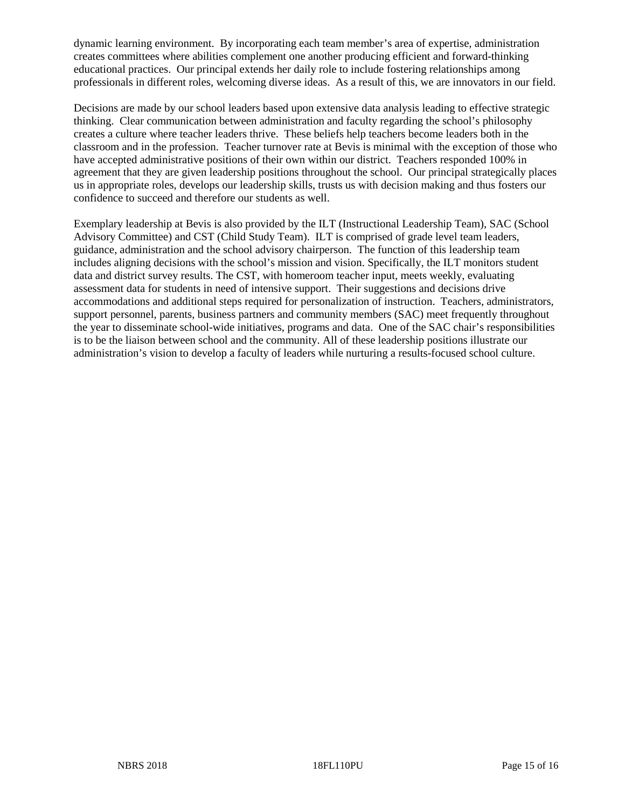dynamic learning environment. By incorporating each team member's area of expertise, administration creates committees where abilities complement one another producing efficient and forward-thinking educational practices. Our principal extends her daily role to include fostering relationships among professionals in different roles, welcoming diverse ideas. As a result of this, we are innovators in our field.

Decisions are made by our school leaders based upon extensive data analysis leading to effective strategic thinking. Clear communication between administration and faculty regarding the school's philosophy creates a culture where teacher leaders thrive. These beliefs help teachers become leaders both in the classroom and in the profession. Teacher turnover rate at Bevis is minimal with the exception of those who have accepted administrative positions of their own within our district. Teachers responded 100% in agreement that they are given leadership positions throughout the school. Our principal strategically places us in appropriate roles, develops our leadership skills, trusts us with decision making and thus fosters our confidence to succeed and therefore our students as well.

Exemplary leadership at Bevis is also provided by the ILT (Instructional Leadership Team), SAC (School Advisory Committee) and CST (Child Study Team). ILT is comprised of grade level team leaders, guidance, administration and the school advisory chairperson. The function of this leadership team includes aligning decisions with the school's mission and vision. Specifically, the ILT monitors student data and district survey results. The CST, with homeroom teacher input, meets weekly, evaluating assessment data for students in need of intensive support. Their suggestions and decisions drive accommodations and additional steps required for personalization of instruction. Teachers, administrators, support personnel, parents, business partners and community members (SAC) meet frequently throughout the year to disseminate school-wide initiatives, programs and data. One of the SAC chair's responsibilities is to be the liaison between school and the community. All of these leadership positions illustrate our administration's vision to develop a faculty of leaders while nurturing a results-focused school culture.